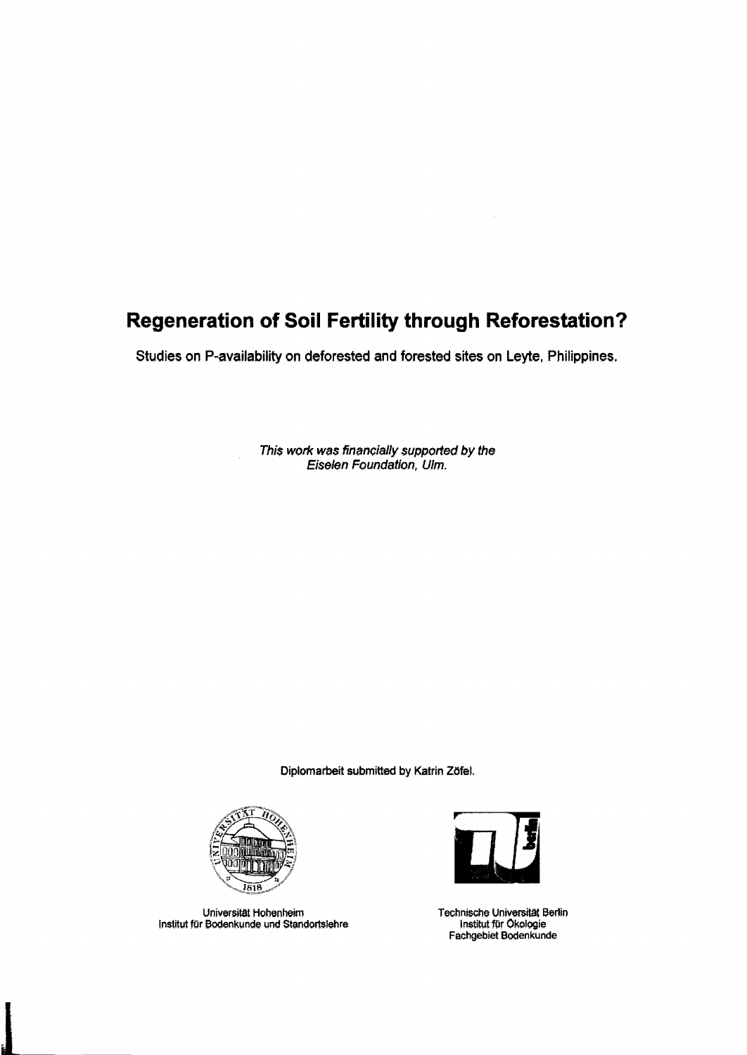## **Regeneration of Soil Fertility through Reforestation?**

Studies on P-availability on deforested and forested sites on Leyte, Philippines.

This work was financially supported by the Eiselen Foundation, Ulm.

Diplomarbeit submitted by Katrin Zöfe!.



Universität Hohenheim Technische Universität Berlin Institut für Bodenkunde und Standortslehre



Fachgebiet Bodenkunde